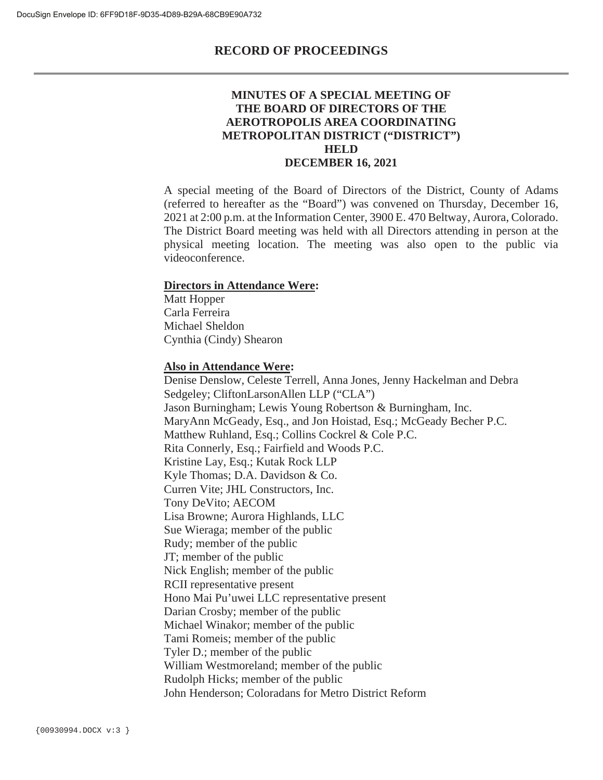#### **MINUTES OF A SPECIAL MEETING OF THE BOARD OF DIRECTORS OF THE AEROTROPOLIS AREA COORDINATING METROPOLITAN DISTRICT ("DISTRICT") HELD DECEMBER 16, 2021**

A special meeting of the Board of Directors of the District, County of Adams (referred to hereafter as the "Board") was convened on Thursday, December 16, 2021 at 2:00 p.m. at the Information Center, 3900 E. 470 Beltway, Aurora, Colorado. The District Board meeting was held with all Directors attending in person at the physical meeting location. The meeting was also open to the public via videoconference.

#### **Directors in Attendance Were:**

Matt Hopper Carla Ferreira Michael Sheldon Cynthia (Cindy) Shearon

#### **Also in Attendance Were:**

Denise Denslow, Celeste Terrell, Anna Jones, Jenny Hackelman and Debra Sedgeley; CliftonLarsonAllen LLP ("CLA") Jason Burningham; Lewis Young Robertson & Burningham, Inc. MaryAnn McGeady, Esq., and Jon Hoistad, Esq.; McGeady Becher P.C. Matthew Ruhland, Esq.; Collins Cockrel & Cole P.C. Rita Connerly, Esq.; Fairfield and Woods P.C. Kristine Lay, Esq.; Kutak Rock LLP Kyle Thomas; D.A. Davidson & Co. Curren Vite; JHL Constructors, Inc. Tony DeVito; AECOM Lisa Browne; Aurora Highlands, LLC Sue Wieraga; member of the public Rudy; member of the public JT; member of the public Nick English; member of the public RCII representative present Hono Mai Pu'uwei LLC representative present Darian Crosby; member of the public Michael Winakor; member of the public Tami Romeis; member of the public Tyler D.; member of the public William Westmoreland; member of the public Rudolph Hicks; member of the public John Henderson; Coloradans for Metro District Reform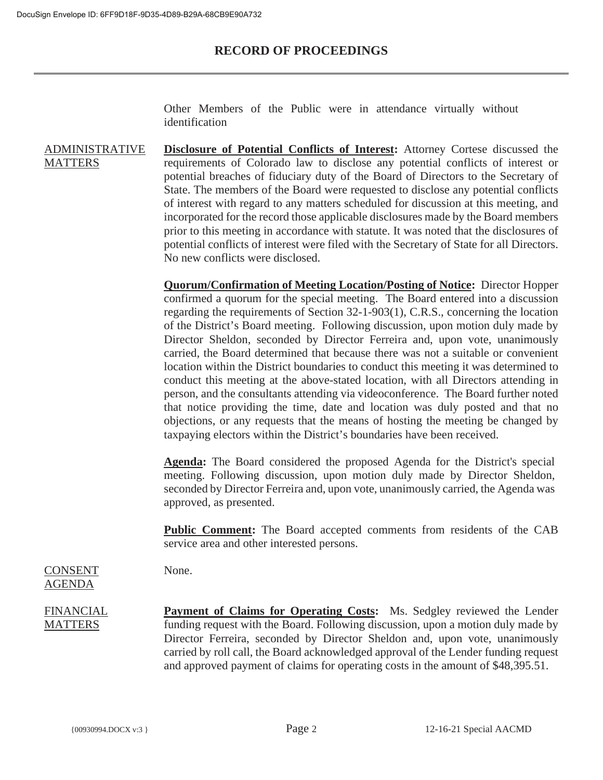Other Members of the Public were in attendance virtually without identification

ADMINISTRATIVE **MATTERS Disclosure of Potential Conflicts of Interest:** Attorney Cortese discussed the requirements of Colorado law to disclose any potential conflicts of interest or potential breaches of fiduciary duty of the Board of Directors to the Secretary of State. The members of the Board were requested to disclose any potential conflicts of interest with regard to any matters scheduled for discussion at this meeting, and incorporated for the record those applicable disclosures made by the Board members prior to this meeting in accordance with statute. It was noted that the disclosures of potential conflicts of interest were filed with the Secretary of State for all Directors. No new conflicts were disclosed.

> **Quorum/Confirmation of Meeting Location/Posting of Notice:** Director Hopper confirmed a quorum for the special meeting. The Board entered into a discussion regarding the requirements of Section 32-1-903(1), C.R.S., concerning the location of the District's Board meeting. Following discussion, upon motion duly made by Director Sheldon, seconded by Director Ferreira and, upon vote, unanimously carried, the Board determined that because there was not a suitable or convenient location within the District boundaries to conduct this meeting it was determined to conduct this meeting at the above-stated location, with all Directors attending in person, and the consultants attending via videoconference. The Board further noted that notice providing the time, date and location was duly posted and that no objections, or any requests that the means of hosting the meeting be changed by taxpaying electors within the District's boundaries have been received.

> **Agenda:** The Board considered the proposed Agenda for the District's special meeting. Following discussion, upon motion duly made by Director Sheldon, seconded by Director Ferreira and, upon vote, unanimously carried, the Agenda was approved, as presented.

> **Public Comment:** The Board accepted comments from residents of the CAB service area and other interested persons.

CONSENT AGENDA

**FINANCIAL** MATTERS **Payment of Claims for Operating Costs:** Ms. Sedgley reviewed the Lender funding request with the Board. Following discussion, upon a motion duly made by Director Ferreira, seconded by Director Sheldon and, upon vote, unanimously carried by roll call, the Board acknowledged approval of the Lender funding request and approved payment of claims for operating costs in the amount of \$48,395.51.

None.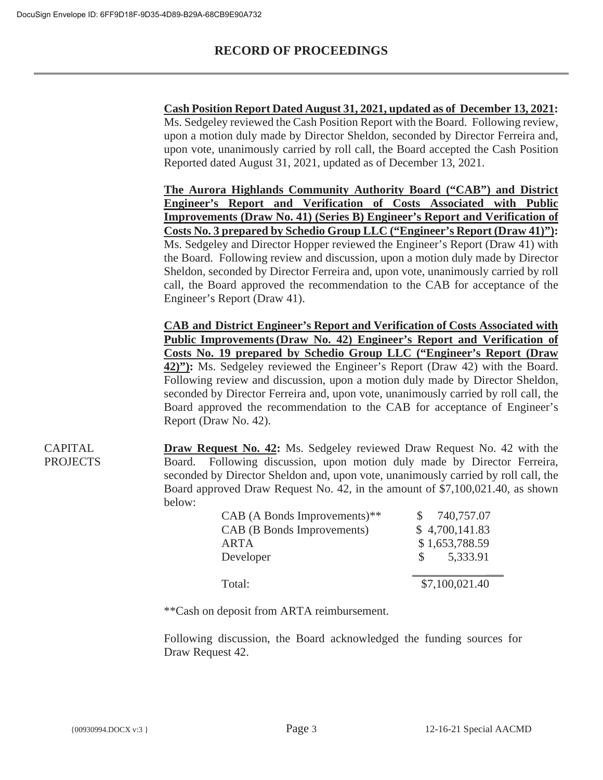|        | Ms. Sedgeley reviewed the Cash Position Report with the Board. Following review,                                                                                                                                                                                                                                           |
|--------|----------------------------------------------------------------------------------------------------------------------------------------------------------------------------------------------------------------------------------------------------------------------------------------------------------------------------|
|        | upon a motion duly made by Director Sheldon, seconded by Director Ferreira and,                                                                                                                                                                                                                                            |
|        | upon vote, unanimously carried by roll call, the Board accepted the Cash Position                                                                                                                                                                                                                                          |
|        | Reported dated August 31, 2021, updated as of December 13, 2021.                                                                                                                                                                                                                                                           |
|        | The Aurora Highlands Community Authority Board ("CAB") and District                                                                                                                                                                                                                                                        |
|        | Engineer's Report and Verification of Costs Associated with Public                                                                                                                                                                                                                                                         |
|        | <b>Improvements (Draw No. 41) (Series B) Engineer's Report and Verification of</b>                                                                                                                                                                                                                                         |
|        | Costs No. 3 prepared by Schedio Group LLC ("Engineer's Report (Draw 41)"):                                                                                                                                                                                                                                                 |
|        | Ms. Sedgeley and Director Hopper reviewed the Engineer's Report (Draw 41) with                                                                                                                                                                                                                                             |
|        | the Board. Following review and discussion, upon a motion duly made by Director                                                                                                                                                                                                                                            |
|        | Sheldon, seconded by Director Ferreira and, upon vote, unanimously carried by roll                                                                                                                                                                                                                                         |
|        | call, the Board approved the recommendation to the CAB for acceptance of the                                                                                                                                                                                                                                               |
|        | Engineer's Report (Draw 41).                                                                                                                                                                                                                                                                                               |
|        |                                                                                                                                                                                                                                                                                                                            |
|        | <b>CAB and District Engineer's Report and Verification of Costs Associated with</b>                                                                                                                                                                                                                                        |
|        | Public Improvements (Draw No. 42) Engineer's Report and Verification of                                                                                                                                                                                                                                                    |
|        |                                                                                                                                                                                                                                                                                                                            |
|        | Costs No. 19 prepared by Schedio Group LLC ("Engineer's Report (Draw                                                                                                                                                                                                                                                       |
|        | 42)": Ms. Sedgeley reviewed the Engineer's Report (Draw 42) with the Board.                                                                                                                                                                                                                                                |
|        |                                                                                                                                                                                                                                                                                                                            |
|        |                                                                                                                                                                                                                                                                                                                            |
|        | Following review and discussion, upon a motion duly made by Director Sheldon,<br>seconded by Director Ferreira and, upon vote, unanimously carried by roll call, the<br>Board approved the recommendation to the CAB for acceptance of Engineer's                                                                          |
|        | Report (Draw No. 42).                                                                                                                                                                                                                                                                                                      |
|        |                                                                                                                                                                                                                                                                                                                            |
|        |                                                                                                                                                                                                                                                                                                                            |
| Board. |                                                                                                                                                                                                                                                                                                                            |
|        |                                                                                                                                                                                                                                                                                                                            |
| below: | <b>Draw Request No. 42:</b> Ms. Sedgeley reviewed Draw Request No. 42 with the<br>Following discussion, upon motion duly made by Director Ferreira,<br>seconded by Director Sheldon and, upon vote, unanimously carried by roll call, the<br>Board approved Draw Request No. 42, in the amount of \$7,100,021.40, as shown |

| $CAB$ (A Bonds Improvements) <sup>**</sup> | 740,757.07                |
|--------------------------------------------|---------------------------|
| CAB (B Bonds Improvements)                 | \$4,700,141.83            |
| ARTA                                       | \$1,653,788.59            |
| Developer                                  | 5,333.91<br>$\mathcal{S}$ |
|                                            |                           |
| Total:                                     | \$7,100,021.40            |

\*\*Cash on deposit from ARTA reimbursement.

Following discussion, the Board acknowledged the funding sources for Draw Request 42.

CAPITAL PROJECTS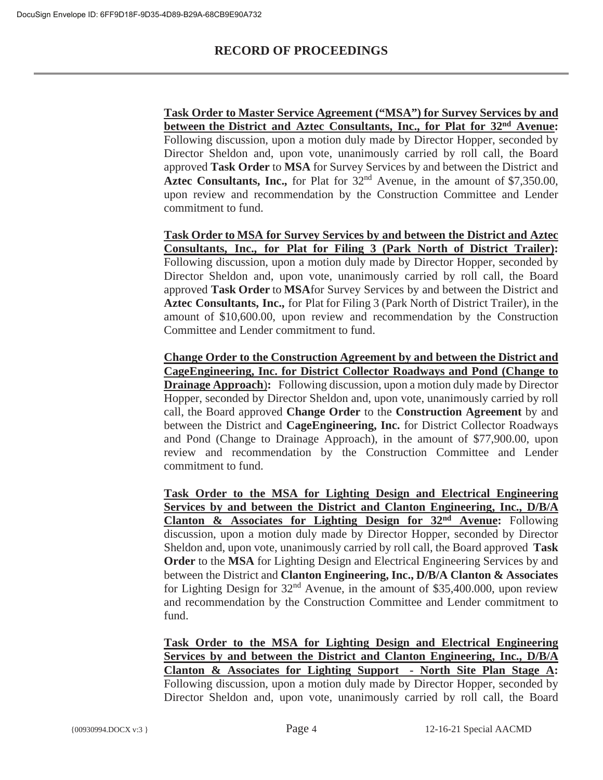**Task Order to Master Service Agreement ("MSA") for Survey Services by and between the District and Aztec Consultants, Inc., for Plat for 32nd Avenue:** Following discussion, upon a motion duly made by Director Hopper, seconded by Director Sheldon and, upon vote, unanimously carried by roll call, the Board approved **Task Order** to **MSA** for Survey Services by and between the District and Aztec Consultants, Inc., for Plat for  $32<sup>nd</sup>$  Avenue, in the amount of \$7,350.00, upon review and recommendation by the Construction Committee and Lender commitment to fund.

**Task Order to MSA for Survey Services by and between the District and Aztec Consultants, Inc., for Plat for Filing 3 (Park North of District Trailer):** Following discussion, upon a motion duly made by Director Hopper, seconded by Director Sheldon and, upon vote, unanimously carried by roll call, the Board approved **Task Order** to **MSA**for Survey Services by and between the District and **Aztec Consultants, Inc.,** for Plat for Filing 3 (Park North of District Trailer), in the amount of \$10,600.00, upon review and recommendation by the Construction Committee and Lender commitment to fund.

**Change Order to the Construction Agreement by and between the District and CageEngineering, Inc. for District Collector Roadways and Pond (Change to Drainage Approach):** Following discussion, upon a motion duly made by Director Hopper, seconded by Director Sheldon and, upon vote, unanimously carried by roll call, the Board approved **Change Order** to the **Construction Agreement** by and between the District and **Cage Engineering, Inc.** for District Collector Roadways and Pond (Change to Drainage Approach), in the amount of \$77,900.00, upon review and recommendation by the Construction Committee and Lender commitment to fund.

**Task Order to the MSA for Lighting Design and Electrical Engineering Services by and between the District and Clanton Engineering, Inc., D/B/A Clanton & Associates for Lighting Design for 32nd Avenue:** Following discussion, upon a motion duly made by Director Hopper, seconded by Director Sheldon and, upon vote, unanimously carried by roll call, the Board approved **Task Order** to the **MSA** for Lighting Design and Electrical Engineering Services by and between the District and **Clanton Engineering, Inc., D/B/A Clanton & Associates** for Lighting Design for  $32<sup>nd</sup>$  Avenue, in the amount of \$35,400.000, upon review and recommendation by the Construction Committee and Lender commitment to fund.

**Task Order to the MSA for Lighting Design and Electrical Engineering Services by and between the District and Clanton Engineering, Inc., D/B/A Clanton & Associates for Lighting Support - North Site Plan Stage A:** Following discussion, upon a motion duly made by Director Hopper, seconded by Director Sheldon and, upon vote, unanimously carried by roll call, the Board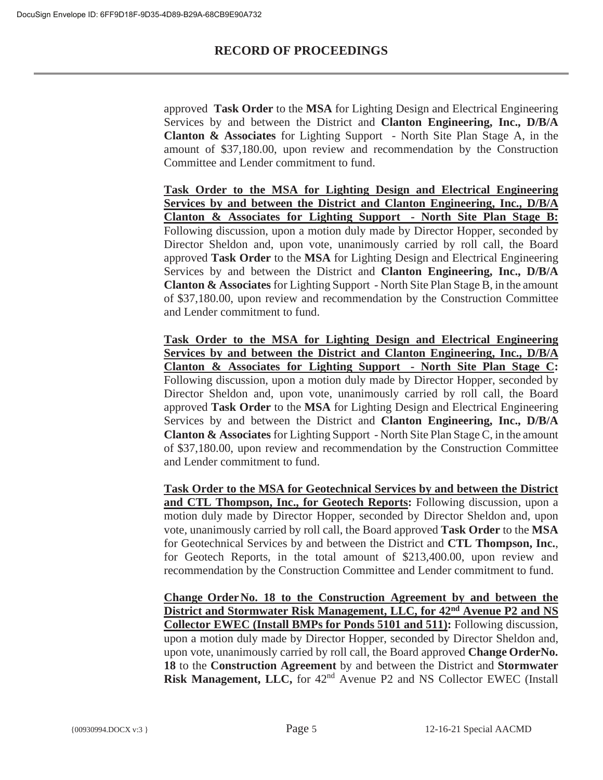approved **Task Order** to the **MSA** for Lighting Design and Electrical Engineering Services by and between the District and **Clanton Engineering, Inc., D/B/A Clanton & Associates** for Lighting Support - North Site Plan Stage A, in the amount of \$37,180.00, upon review and recommendation by the Construction Committee and Lender commitment to fund.

**Task Order to the MSA for Lighting Design and Electrical Engineering Services by and between the District and Clanton Engineering, Inc., D/B/A Clanton & Associates for Lighting Support - North Site Plan Stage B:** Following discussion, upon a motion duly made by Director Hopper, seconded by Director Sheldon and, upon vote, unanimously carried by roll call, the Board approved **Task Order** to the **MSA** for Lighting Design and Electrical Engineering Services by and between the District and **Clanton Engineering, Inc., D/B/A Clanton & Associates** for Lighting Support - North Site Plan Stage B, in the amount of \$37,180.00, upon review and recommendation by the Construction Committee and Lender commitment to fund.

**Task Order to the MSA for Lighting Design and Electrical Engineering Services by and between the District and Clanton Engineering, Inc., D/B/A Clanton & Associates for Lighting Support - North Site Plan Stage C:** Following discussion, upon a motion duly made by Director Hopper, seconded by Director Sheldon and, upon vote, unanimously carried by roll call, the Board approved **Task Order** to the **MSA** for Lighting Design and Electrical Engineering Services by and between the District and **Clanton Engineering, Inc., D/B/A Clanton & Associates** for Lighting Support - North Site Plan Stage C, in the amount of \$37,180.00, upon review and recommendation by the Construction Committee and Lender commitment to fund.

**Task Order to the MSA for Geotechnical Services by and between the District and CTL Thompson, Inc., for Geotech Reports:** Following discussion, upon a motion duly made by Director Hopper, seconded by Director Sheldon and, upon vote, unanimously carried by roll call, the Board approved **Task Order** to the **MSA** for Geotechnical Services by and between the District and **CTL Thompson, Inc.**, for Geotech Reports, in the total amount of \$213,400.00, upon review and recommendation by the Construction Committee and Lender commitment to fund.

**Change Order No. 18 to the Construction Agreement by and between the District and Stormwater Risk Management, LLC, for 42nd Avenue P2 and NS Collector EWEC (Install BMPs for Ponds 5101 and 511):** Following discussion, upon a motion duly made by Director Hopper, seconded by Director Sheldon and, upon vote, unanimously carried by roll call, the Board approved **Change Order No. 18** to the **Construction Agreement** by and between the District and **Stormwater Risk Management, LLC,** for 42<sup>nd</sup> Avenue P2 and NS Collector EWEC (Install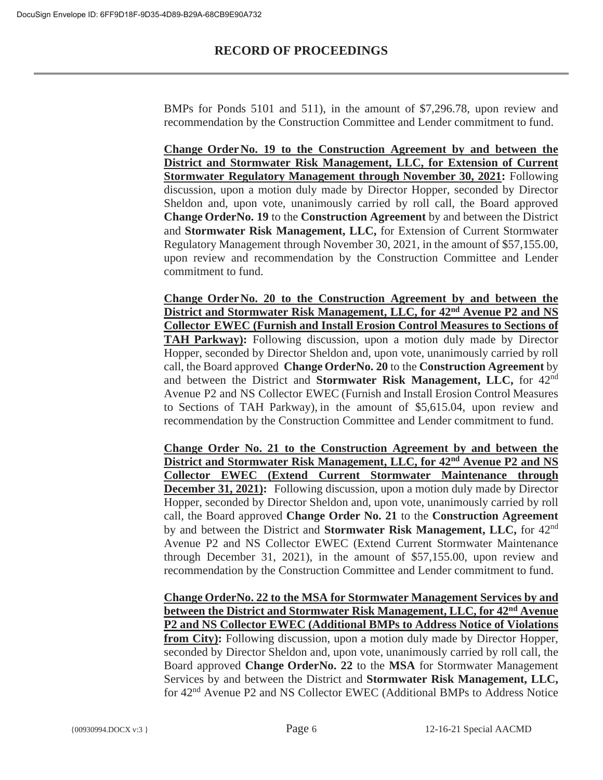BMPs for Ponds 5101 and 511), in the amount of \$7,296.78, upon review and recommendation by the Construction Committee and Lender commitment to fund.

**Change Order No. 19 to the Construction Agreement by and between the District and Stormwater Risk Management, LLC, for Extension of Current Stormwater Regulatory Management through November 30, 2021:** Following discussion, upon a motion duly made by Director Hopper, seconded by Director Sheldon and, upon vote, unanimously carried by roll call, the Board approved **Change OrderNo. 19** to the **Construction Agreement** by and between the District and **Stormwater Risk Management, LLC,** for Extension of Current Stormwater Regulatory Management through November 30, 2021, in the amount of \$57,155.00, upon review and recommendation by the Construction Committee and Lender commitment to fund.

**Change Order No. 20 to the Construction Agreement by and between the District and Stormwater Risk Management, LLC, for 42nd Avenue P2 and NS Collector EWEC (Furnish and Install Erosion Control Measures to Sections of TAH Parkway):** Following discussion, upon a motion duly made by Director Hopper, seconded by Director Sheldon and, upon vote, unanimously carried by roll call, the Board approved **Change OrderNo. 20** to the **Construction Agreement** by and between the District and **Stormwater Risk Management, LLC,** for 42nd Avenue P2 and NS Collector EWEC (Furnish and Install Erosion Control Measures to Sections of TAH Parkway), in the amount of \$5,615.04, upon review and recommendation by the Construction Committee and Lender commitment to fund.

**Change Order No. 21 to the Construction Agreement by and between the District and Stormwater Risk Management, LLC, for 42nd Avenue P2 and NS Collector EWEC (Extend Current Stormwater Maintenance through December 31, 2021):** Following discussion, upon a motion duly made by Director Hopper, seconded by Director Sheldon and, upon vote, unanimously carried by roll call, the Board approved **Change Order No. 21** to the **Construction Agreement** by and between the District and **Stormwater Risk Management, LLC,** for 42nd Avenue P2 and NS Collector EWEC (Extend Current Stormwater Maintenance through December 31, 2021), in the amount of \$57,155.00, upon review and recommendation by the Construction Committee and Lender commitment to fund.

**Change OrderNo. 22 to the MSA for Stormwater Management Services by and between the District and Stormwater Risk Management, LLC, for 42nd Avenue P2 and NS Collector EWEC (Additional BMPs to Address Notice of Violations from City):** Following discussion, upon a motion duly made by Director Hopper, seconded by Director Sheldon and, upon vote, unanimously carried by roll call, the Board approved **Change OrderNo. 22** to the **MSA** for Stormwater Management Services by and between the District and **Stormwater Risk Management, LLC,** for 42nd Avenue P2 and NS Collector EWEC (Additional BMPs to Address Notice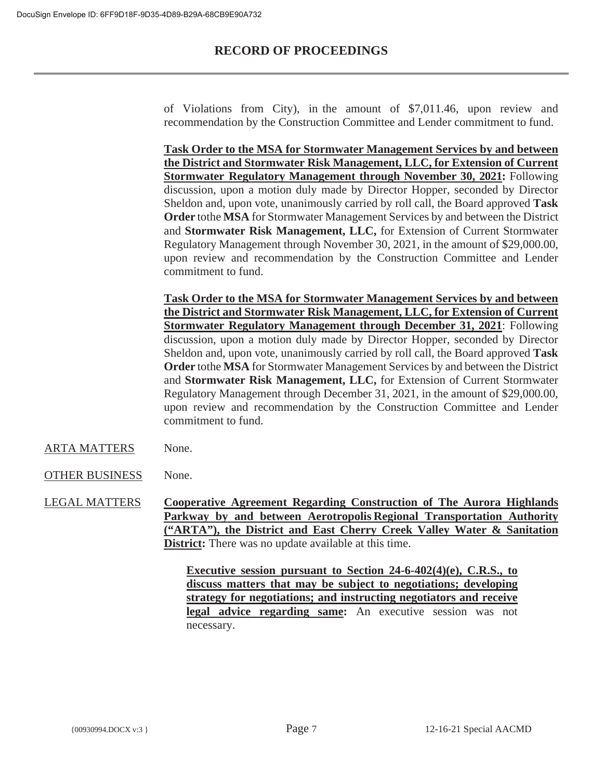of Violations from City), in the amount of \$7,011.46, upon review and recommendation by the Construction Committee and Lender commitment to fund.

**Task Order to the MSA for Stormwater Management Services by and between the District and Stormwater Risk Management, LLC, for Extension of Current Stormwater Regulatory Management through November 30, 2021:** Following discussion, upon a motion duly made by Director Hopper, seconded by Director Sheldon and, upon vote, unanimously carried by roll call, the Board approved **Task Order** tothe **MSA** for Stormwater Management Services by and between the District and **Stormwater Risk Management, LLC,** for Extension of Current Stormwater Regulatory Management through November 30, 2021, in the amount of \$29,000.00, upon review and recommendation by the Construction Committee and Lender commitment to fund.

**Task Order to the MSA for Stormwater Management Services by and between the District and Stormwater Risk Management, LLC, for Extension of Current Stormwater Regulatory Management through December 31, 2021**: Following discussion, upon a motion duly made by Director Hopper, seconded by Director Sheldon and, upon vote, unanimously carried by roll call, the Board approved **Task Order** tothe **MSA** for Stormwater Management Services by and between the District and **Stormwater Risk Management, LLC,** for Extension of Current Stormwater Regulatory Management through December 31, 2021, in the amount of \$29,000.00, upon review and recommendation by the Construction Committee and Lender commitment to fund.

- ARTA MATTERS None.
- OTHER BUSINESS None.

LEGAL MATTERS **Cooperative Agreement Regarding Construction of The Aurora Highlands Parkway by and between Aerotropolis Regional Transportation Authority ("ARTA"), the District and East Cherry Creek Valley Water & Sanitation District:** There was no update available at this time.

> **Executive session pursuant to Section 24-6-402(4)(e), C.R.S., to discuss matters that may be subject to negotiations; developing strategy for negotiations; and instructing negotiators and receive legal advice regarding same:** An executive session was not necessary.